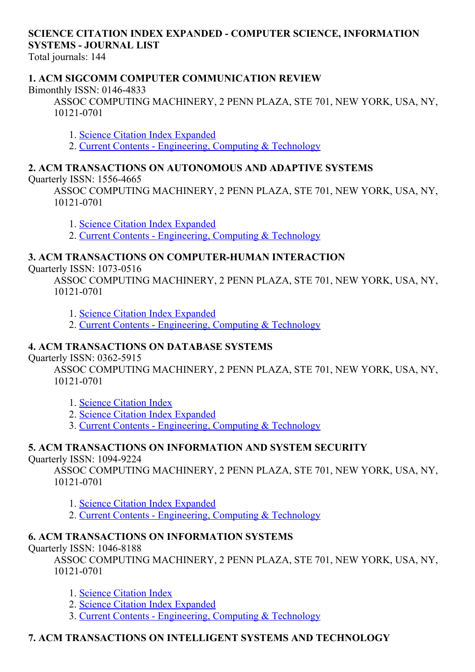## SCIENCE CITATION INDEX EXPANDED - COMPUTER SCIENCE, INFORMATION **SYSTEMS - JOURNAL LIST**

Total journals: 144

## 1. ACM SIGCOMM COMPUTER COMMUNICATION REVIEW

Bimonthly ISSN: 0146-4833

ASSOC COMPUTING MACHINERY, 2 PENN PLAZA, STE 701, NEW YORK, USA, NY, 10121-0701

1. Science Citation Index [Expanded](http://thomsonreuters.com/science-citation-index-expanded)

2. Current Contents - [Engineering,](http://thomsonreuters.com/current-contents-connect) Computing & Technology

## 2. ACM TRANSACTIONS ON AUTONOMOUS AND ADAPTIVE SYSTEMS

Quarterly ISSN: 15564665

ASSOC COMPUTING MACHINERY, 2 PENN PLAZA, STE 701, NEW YORK, USA, NY, 10121-0701

1. Science Citation Index [Expanded](http://thomsonreuters.com/science-citation-index-expanded)

2. Current Contents - [Engineering,](http://thomsonreuters.com/current-contents-connect) Computing & Technology

## 3. ACM TRANSACTIONS ON COMPUTER-HUMAN INTERACTION

Quarterly ISSN: 1073-0516

ASSOC COMPUTING MACHINERY, 2 PENN PLAZA, STE 701, NEW YORK, USA, NY, 10121-0701

1. Science Citation Index [Expanded](http://thomsonreuters.com/science-citation-index-expanded)

2. Current Contents [Engineering,](http://thomsonreuters.com/current-contents-connect) Computing & Technology

## 4. ACM TRANSACTIONS ON DATABASE SYSTEMS

Quarterly ISSN: 0362-5915

ASSOC COMPUTING MACHINERY, 2 PENN PLAZA, STE 701, NEW YORK, USA, NY, 10121-0701

- 1. Science [Citation](http://thomsonreuters.com/science-citation-index-expanded) Index
- 2. Science Citation Index [Expanded](http://thomsonreuters.com/science-citation-index-expanded)
- 3. Current Contents [Engineering,](http://thomsonreuters.com/current-contents-connect) Computing & Technology

## 5. ACM TRANSACTIONS ON INFORMATION AND SYSTEM SECURITY

Ouarterly ISSN: 1094-9224

ASSOC COMPUTING MACHINERY, 2 PENN PLAZA, STE 701, NEW YORK, USA, NY, 10121-0701

- 1. Science Citation Index [Expanded](http://thomsonreuters.com/science-citation-index-expanded)
- 2. Current Contents [Engineering,](http://thomsonreuters.com/current-contents-connect) Computing & Technology

## 6. ACM TRANSACTIONS ON INFORMATION SYSTEMS

Quarterly ISSN: 1046-8188

ASSOC COMPUTING MACHINERY, 2 PENN PLAZA, STE 701, NEW YORK, USA, NY, 10121-0701

- 1. Science [Citation](http://thomsonreuters.com/science-citation-index-expanded) Index
- 2. Science Citation Index [Expanded](http://thomsonreuters.com/science-citation-index-expanded)
- 3. Current Contents [Engineering,](http://thomsonreuters.com/current-contents-connect) Computing & Technology

## 7. ACM TRANSACTIONS ON INTELLIGENT SYSTEMS AND TECHNOLOGY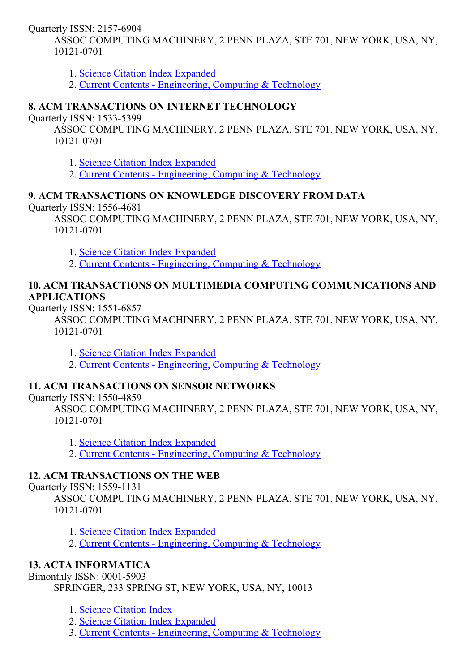Quarterly ISSN: 2157-6904

ASSOC COMPUTING MACHINERY, 2 PENN PLAZA, STE 701, NEW YORK, USA, NY, 10121-0701

1. Science Citation Index [Expanded](http://thomsonreuters.com/science-citation-index-expanded)

2. Current Contents - [Engineering,](http://thomsonreuters.com/current-contents-connect) Computing & Technology

## 8. ACM TRANSACTIONS ON INTERNET TECHNOLOGY

Quarterly ISSN: 1533-5399

ASSOC COMPUTING MACHINERY, 2 PENN PLAZA, STE 701, NEW YORK, USA, NY, 10121-0701

1. Science Citation Index [Expanded](http://thomsonreuters.com/science-citation-index-expanded)

2. Current Contents - [Engineering,](http://thomsonreuters.com/current-contents-connect) Computing & Technology

## 9. ACM TRANSACTIONS ON KNOWLEDGE DISCOVERY FROM DATA

Quarterly ISSN: 15564681

ASSOC COMPUTING MACHINERY, 2 PENN PLAZA, STE 701, NEW YORK, USA, NY, 10121-0701

1. Science Citation Index [Expanded](http://thomsonreuters.com/science-citation-index-expanded)

2. Current Contents - [Engineering,](http://thomsonreuters.com/current-contents-connect) Computing & Technology

## 10. ACM TRANSACTIONS ON MULTIMEDIA COMPUTING COMMUNICATIONS AND APPLICATIONS

Ouarterly ISSN: 1551-6857

ASSOC COMPUTING MACHINERY, 2 PENN PLAZA, STE 701, NEW YORK, USA, NY, 10121-0701

1. Science Citation Index [Expanded](http://thomsonreuters.com/science-citation-index-expanded)

2. Current Contents - [Engineering,](http://thomsonreuters.com/current-contents-connect) Computing & Technology

## 11. ACM TRANSACTIONS ON SENSOR NETWORKS

Quarterly ISSN: 15504859

ASSOC COMPUTING MACHINERY, 2 PENN PLAZA, STE 701, NEW YORK, USA, NY, 10121-0701

1. Science Citation Index [Expanded](http://thomsonreuters.com/science-citation-index-expanded)

2. Current Contents - [Engineering,](http://thomsonreuters.com/current-contents-connect) Computing & Technology

## 12. ACM TRANSACTIONS ON THE WEB

Ouarterly ISSN: 1559-1131

ASSOC COMPUTING MACHINERY, 2 PENN PLAZA, STE 701, NEW YORK, USA, NY, 10121-0701

1. Science Citation Index [Expanded](http://thomsonreuters.com/science-citation-index-expanded)

2. Current Contents - [Engineering,](http://thomsonreuters.com/current-contents-connect) Computing & Technology

## 13. ACTA INFORMATICA

Bimonthly ISSN: 0001-5903

SPRINGER, 233 SPRING ST, NEW YORK, USA, NY, 10013

1. Science [Citation](http://thomsonreuters.com/science-citation-index-expanded) Index

2. Science Citation Index [Expanded](http://thomsonreuters.com/science-citation-index-expanded)

3. Current Contents [Engineering,](http://thomsonreuters.com/current-contents-connect) Computing & Technology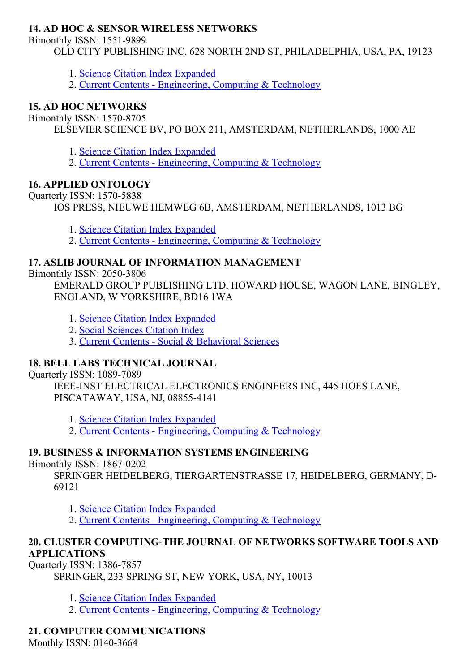## 14. AD HOC & SENSOR WIRELESS NETWORKS

Bimonthly ISSN: 1551-9899

OLD CITY PUBLISHING INC, 628 NORTH 2ND ST, PHILADELPHIA, USA, PA, 19123

- 1. Science Citation Index [Expanded](http://thomsonreuters.com/science-citation-index-expanded)
- 2. Current Contents [Engineering,](http://thomsonreuters.com/current-contents-connect) Computing & Technology

## 15. AD HOC NETWORKS

Bimonthly ISSN: 1570-8705

ELSEVIER SCIENCE BV, PO BOX 211, AMSTERDAM, NETHERLANDS, 1000 AE

- 1. Science Citation Index [Expanded](http://thomsonreuters.com/science-citation-index-expanded)
- 2. Current Contents [Engineering,](http://thomsonreuters.com/current-contents-connect) Computing & Technology

## 16. APPLIED ONTOLOGY

Ouarterly ISSN: 1570-5838

IOS PRESS, NIEUWE HEMWEG 6B, AMSTERDAM, NETHERLANDS, 1013 BG

- 1. Science Citation Index [Expanded](http://thomsonreuters.com/science-citation-index-expanded)
- 2. Current Contents [Engineering,](http://thomsonreuters.com/current-contents-connect) Computing & Technology

## 17. ASLIB JOURNAL OF INFORMATION MANAGEMENT

Bimonthly ISSN: 2050-3806

EMERALD GROUP PUBLISHING LTD, HOWARD HOUSE, WAGON LANE, BINGLEY, ENGLAND, W YORKSHIRE, BD16 1WA

- 1. Science Citation Index [Expanded](http://thomsonreuters.com/science-citation-index-expanded)
- 2. Social [Sciences](http://thomsonreuters.com/social-sciences-citation-index) Citation Index
- 3. Current Contents Social & [Behavioral](http://thomsonreuters.com/current-contents-connect/) Sciences

## 18. BELL LABS TECHNICAL JOURNAL

Quarterly ISSN: 1089-7089

IEEE-INST ELECTRICAL ELECTRONICS ENGINEERS INC, 445 HOES LANE, PISCATAWAY, USA, NJ, 088554141

1. Science Citation Index [Expanded](http://thomsonreuters.com/science-citation-index-expanded)

2. Current Contents - [Engineering,](http://thomsonreuters.com/current-contents-connect) Computing & Technology

## 19. BUSINESS & INFORMATION SYSTEMS ENGINEERING

Bimonthly ISSN: 1867-0202

SPRINGER HEIDELBERG, TIERGARTENSTRASSE 17, HEIDELBERG, GERMANY, D-69121

- 1. Science Citation Index [Expanded](http://thomsonreuters.com/science-citation-index-expanded)
- 2. Current Contents [Engineering,](http://thomsonreuters.com/current-contents-connect) Computing & Technology

## 20. CLUSTER COMPUTING-THE JOURNAL OF NETWORKS SOFTWARE TOOLS AND APPLICATIONS

Quarterly ISSN: 1386-7857

SPRINGER, 233 SPRING ST, NEW YORK, USA, NY, 10013

- 1. Science Citation Index [Expanded](http://thomsonreuters.com/science-citation-index-expanded)
- 2. Current Contents [Engineering,](http://thomsonreuters.com/current-contents-connect) Computing & Technology

## 21. COMPUTER COMMUNICATIONS

Monthly ISSN: 0140-3664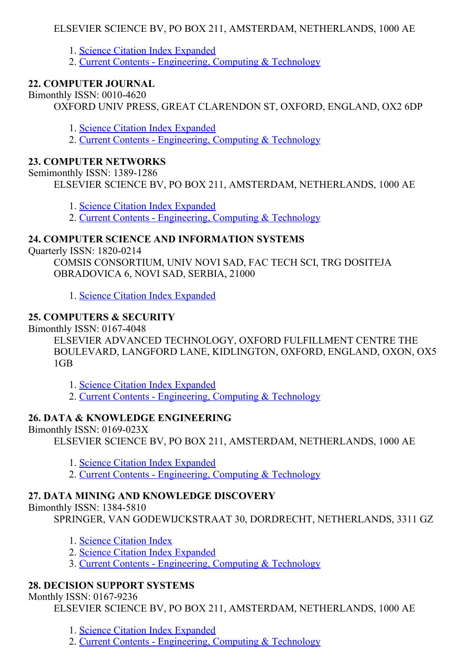## ELSEVIER SCIENCE BV, PO BOX 211, AMSTERDAM, NETHERLANDS, 1000 AE

- 1. Science Citation Index [Expanded](http://thomsonreuters.com/science-citation-index-expanded)
- 2. Current Contents [Engineering,](http://thomsonreuters.com/current-contents-connect) Computing & Technology

## 22. COMPUTER JOURNAL

Bimonthly ISSN: 00104620

OXFORD UNIV PRESS, GREAT CLARENDON ST, OXFORD, ENGLAND, OX2 6DP

- 1. Science Citation Index [Expanded](http://thomsonreuters.com/science-citation-index-expanded)
- 2. Current Contents [Engineering,](http://thomsonreuters.com/current-contents-connect) Computing & Technology

## 23. COMPUTER NETWORKS

Semimonthly ISSN: 1389-1286

ELSEVIER SCIENCE BV, PO BOX 211, AMSTERDAM, NETHERLANDS, 1000 AE

- 1. Science Citation Index [Expanded](http://thomsonreuters.com/science-citation-index-expanded)
- 2. Current Contents [Engineering,](http://thomsonreuters.com/current-contents-connect) Computing & Technology

## 24. COMPUTER SCIENCE AND INFORMATION SYSTEMS

Ouarterly ISSN: 1820-0214

COMSIS CONSORTIUM, UNIV NOVI SAD, FAC TECH SCI, TRG DOSITEJA OBRADOVICA 6, NOVI SAD, SERBIA, 21000

1. Science Citation Index [Expanded](http://thomsonreuters.com/science-citation-index-expanded)

## 25. COMPUTERS & SECURITY

Bimonthly ISSN: 0167-4048

ELSEVIER ADVANCED TECHNOLOGY, OXFORD FULFILLMENT CENTRE THE BOULEVARD, LANGFORD LANE, KIDLINGTON, OXFORD, ENGLAND, OXON, OX5 1GB

1. Science Citation Index [Expanded](http://thomsonreuters.com/science-citation-index-expanded)

2. Current Contents - [Engineering,](http://thomsonreuters.com/current-contents-connect) Computing & Technology

#### 26. DATA & KNOWLEDGE ENGINEERING

Bimonthly ISSN:  $0169-023X$ 

ELSEVIER SCIENCE BV, PO BOX 211, AMSTERDAM, NETHERLANDS, 1000 AE

- 1. Science Citation Index [Expanded](http://thomsonreuters.com/science-citation-index-expanded)
- 2. Current Contents [Engineering,](http://thomsonreuters.com/current-contents-connect) Computing & Technology

## 27. DATA MINING AND KNOWLEDGE DISCOVERY

Bimonthly ISSN: 13845810

SPRINGER, VAN GODEWIJCKSTRAAT 30, DORDRECHT, NETHERLANDS, 3311 GZ

- 1. Science [Citation](http://thomsonreuters.com/science-citation-index-expanded) Index
- 2. Science Citation Index [Expanded](http://thomsonreuters.com/science-citation-index-expanded)
- 3. Current Contents [Engineering,](http://thomsonreuters.com/current-contents-connect) Computing & Technology

## 28. DECISION SUPPORT SYSTEMS

Monthly ISSN: 0167-9236

ELSEVIER SCIENCE BV, PO BOX 211, AMSTERDAM, NETHERLANDS, 1000 AE

1. Science Citation Index [Expanded](http://thomsonreuters.com/science-citation-index-expanded)

2. Current Contents - [Engineering,](http://thomsonreuters.com/current-contents-connect) Computing & Technology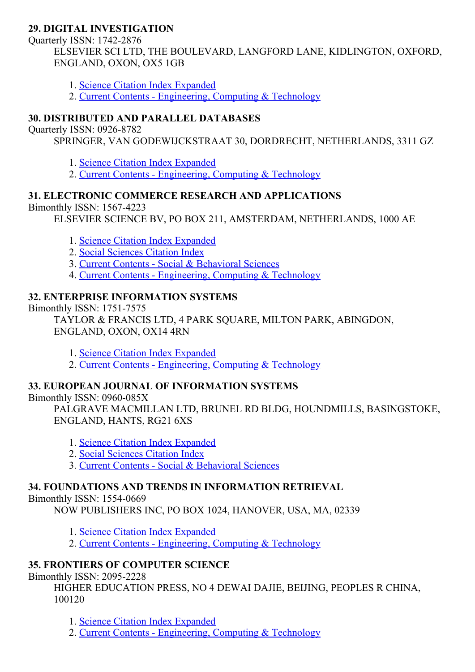## 29. DIGITAL INVESTIGATION

Quarterly ISSN: 1742-2876 ELSEVIER SCI LTD, THE BOULEVARD, LANGFORD LANE, KIDLINGTON, OXFORD, ENGLAND, OXON, OX5 1GB

- 1. Science Citation Index [Expanded](http://thomsonreuters.com/science-citation-index-expanded)
- 2. Current Contents [Engineering,](http://thomsonreuters.com/current-contents-connect) Computing & Technology

## 30. DISTRIBUTED AND PARALLEL DATABASES

Ouarterly ISSN: 0926-8782

SPRINGER, VAN GODEWIJCKSTRAAT 30, DORDRECHT, NETHERLANDS, 3311 GZ

- 1. Science Citation Index [Expanded](http://thomsonreuters.com/science-citation-index-expanded)
- 2. Current Contents [Engineering,](http://thomsonreuters.com/current-contents-connect) Computing & Technology

### 31. ELECTRONIC COMMERCE RESEARCH AND APPLICATIONS

Bimonthly ISSN: 1567-4223

ELSEVIER SCIENCE BV, PO BOX 211, AMSTERDAM, NETHERLANDS, 1000 AE

- 1. Science Citation Index [Expanded](http://thomsonreuters.com/science-citation-index-expanded)
- 2. Social [Sciences](http://thomsonreuters.com/social-sciences-citation-index) Citation Index
- 3. Current Contents Social & [Behavioral](http://thomsonreuters.com/current-contents-connect/) Sciences
- 4. Current Contents [Engineering,](http://thomsonreuters.com/current-contents-connect) Computing & Technology

#### 32. ENTERPRISE INFORMATION SYSTEMS

Bimonthly ISSN: 1751-7575

TAYLOR & FRANCIS LTD, 4 PARK SQUARE, MILTON PARK, ABINGDON, ENGLAND, OXON, OX14 4RN

- 1. Science Citation Index [Expanded](http://thomsonreuters.com/science-citation-index-expanded)
- 2. Current Contents [Engineering,](http://thomsonreuters.com/current-contents-connect) Computing & Technology

## 33. EUROPEAN JOURNAL OF INFORMATION SYSTEMS

Bimonthly ISSN: 0960-085X

PALGRAVE MACMILLAN LTD, BRUNEL RD BLDG, HOUNDMILLS, BASINGSTOKE, ENGLAND, HANTS, RG21 6XS

- 1. Science Citation Index [Expanded](http://thomsonreuters.com/science-citation-index-expanded)
- 2. Social [Sciences](http://thomsonreuters.com/social-sciences-citation-index) Citation Index
- 3. Current Contents Social & [Behavioral](http://thomsonreuters.com/current-contents-connect/) Sciences

## 34. FOUNDATIONS AND TRENDS IN INFORMATION RETRIEVAL

Bimonthly ISSN: 1554-0669

NOW PUBLISHERS INC, PO BOX 1024, HANOVER, USA, MA, 02339

- 1. Science Citation Index [Expanded](http://thomsonreuters.com/science-citation-index-expanded)
- 2. Current Contents [Engineering,](http://thomsonreuters.com/current-contents-connect) Computing & Technology

## 35. FRONTIERS OF COMPUTER SCIENCE

Bimonthly ISSN: 2095-2228

HIGHER EDUCATION PRESS, NO 4 DEWAI DAJIE, BEIJING, PEOPLES R CHINA, 100120

1. Science Citation Index [Expanded](http://thomsonreuters.com/science-citation-index-expanded)

2. Current Contents - [Engineering,](http://thomsonreuters.com/current-contents-connect) Computing & Technology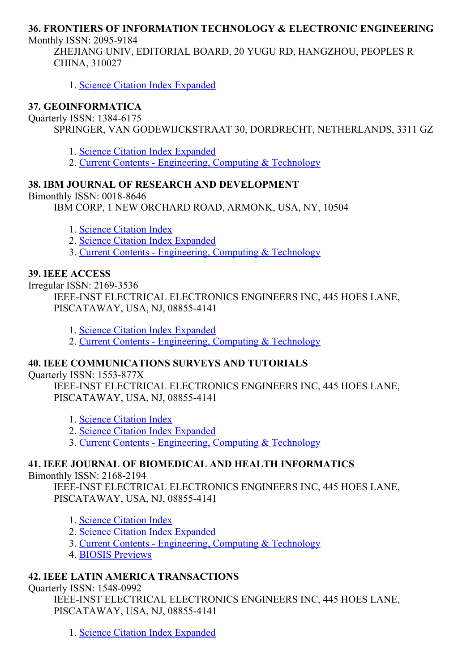## 36. FRONTIERS OF INFORMATION TECHNOLOGY & ELECTRONIC ENGINEERING

Monthly ISSN: 2095-9184

ZHEJIANG UNIV, EDITORIAL BOARD, 20 YUGU RD, HANGZHOU, PEOPLES R CHINA, 310027

1. Science Citation Index [Expanded](http://thomsonreuters.com/science-citation-index-expanded)

## 37. GEOINFORMATICA

#### Quarterly ISSN: 1384-6175

SPRINGER, VAN GODEWIJCKSTRAAT 30, DORDRECHT, NETHERLANDS, 3311 GZ

- 1. Science Citation Index [Expanded](http://thomsonreuters.com/science-citation-index-expanded)
- 2. Current Contents [Engineering,](http://thomsonreuters.com/current-contents-connect) Computing & Technology

## 38. IBM JOURNAL OF RESEARCH AND DEVELOPMENT

Bimonthly ISSN: 0018-8646

IBM CORP, 1 NEW ORCHARD ROAD, ARMONK, USA, NY, 10504

- 1. Science [Citation](http://thomsonreuters.com/science-citation-index-expanded) Index
- 2. Science Citation Index [Expanded](http://thomsonreuters.com/science-citation-index-expanded)
- 3. Current Contents [Engineering,](http://thomsonreuters.com/current-contents-connect) Computing & Technology

### 39. IEEE ACCESS

Irregular ISSN: 21693536

IEEE-INST ELECTRICAL ELECTRONICS ENGINEERS INC, 445 HOES LANE, PISCATAWAY, USA, NJ, 088554141

1. Science Citation Index [Expanded](http://thomsonreuters.com/science-citation-index-expanded)

2. Current Contents - [Engineering,](http://thomsonreuters.com/current-contents-connect) Computing & Technology

## 40. IEEE COMMUNICATIONS SURVEYS AND TUTORIALS

Quarterly ISSN: 1553-877X

IEEE-INST ELECTRICAL ELECTRONICS ENGINEERS INC, 445 HOES LANE, PISCATAWAY, USA, NJ, 088554141

- 1. Science [Citation](http://thomsonreuters.com/science-citation-index-expanded) Index
- 2. Science Citation Index [Expanded](http://thomsonreuters.com/science-citation-index-expanded)
- 3. Current Contents [Engineering,](http://thomsonreuters.com/current-contents-connect) Computing & Technology

## 41. IEEE JOURNAL OF BIOMEDICAL AND HEALTH INFORMATICS

#### Bimonthly  $ISSN: 2168-2194$

IEEE-INST ELECTRICAL ELECTRONICS ENGINEERS INC, 445 HOES LANE, PISCATAWAY, USA, NJ, 088554141

- 1. Science [Citation](http://thomsonreuters.com/science-citation-index-expanded) Index
- 2. Science Citation Index [Expanded](http://thomsonreuters.com/science-citation-index-expanded)
- 3. Current Contents [Engineering,](http://thomsonreuters.com/current-contents-connect) Computing & Technology
- 4. BIOSIS [Previews](http://thomsonreuters.com/biosis-previews)

## 42. IEEE LATIN AMERICA TRANSACTIONS

#### Quarterly ISSN: 1548-0992

IEEE-INST ELECTRICAL ELECTRONICS ENGINEERS INC, 445 HOES LANE, PISCATAWAY, USA, NJ, 088554141

1. Science Citation Index [Expanded](http://thomsonreuters.com/science-citation-index-expanded)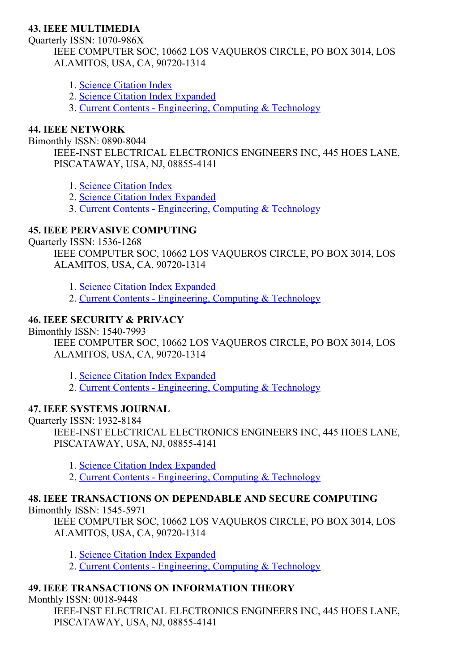## 43. IEEE MULTIMEDIA

#### Ouarterly ISSN: 1070-986X

IEEE COMPUTER SOC, 10662 LOS VAQUEROS CIRCLE, PO BOX 3014, LOS ALAMITOS, USA, CA, 90720-1314

- 1. Science [Citation](http://thomsonreuters.com/science-citation-index-expanded) Index
- 2. Science Citation Index [Expanded](http://thomsonreuters.com/science-citation-index-expanded)
- 3. Current Contents [Engineering,](http://thomsonreuters.com/current-contents-connect) Computing & Technology

## 44. IEEE NETWORK

#### Bimonthly ISSN: 0890-8044

IEEE-INST ELECTRICAL ELECTRONICS ENGINEERS INC, 445 HOES LANE, PISCATAWAY, USA, NJ, 088554141

- 1. Science [Citation](http://thomsonreuters.com/science-citation-index-expanded) Index
- 2. Science Citation Index [Expanded](http://thomsonreuters.com/science-citation-index-expanded)
- 3. Current Contents [Engineering,](http://thomsonreuters.com/current-contents-connect) Computing & Technology

## 45. IEEE PERVASIVE COMPUTING

Ouarterly ISSN: 1536-1268

IEEE COMPUTER SOC, 10662 LOS VAQUEROS CIRCLE, PO BOX 3014, LOS ALAMITOS, USA, CA, 90720-1314

1. Science Citation Index [Expanded](http://thomsonreuters.com/science-citation-index-expanded)

2. Current Contents - [Engineering,](http://thomsonreuters.com/current-contents-connect) Computing & Technology

## 46. IEEE SECURITY & PRIVACY

Bimonthly ISSN: 1540-7993

IEEE COMPUTER SOC, 10662 LOS VAQUEROS CIRCLE, PO BOX 3014, LOS ALAMITOS, USA, CA, 90720-1314

1. Science Citation Index [Expanded](http://thomsonreuters.com/science-citation-index-expanded)

2. Current Contents - [Engineering,](http://thomsonreuters.com/current-contents-connect) Computing & Technology

## 47. IEEE SYSTEMS JOURNAL

Ouarterly ISSN: 1932-8184 IEEE-INST ELECTRICAL ELECTRONICS ENGINEERS INC, 445 HOES LANE, PISCATAWAY, USA, NJ, 088554141

- 1. Science Citation Index [Expanded](http://thomsonreuters.com/science-citation-index-expanded)
- 2. Current Contents [Engineering,](http://thomsonreuters.com/current-contents-connect) Computing & Technology

## 48. IEEE TRANSACTIONS ON DEPENDABLE AND SECURE COMPUTING

Bimonthly ISSN: 1545-5971

IEEE COMPUTER SOC, 10662 LOS VAQUEROS CIRCLE, PO BOX 3014, LOS ALAMITOS, USA, CA, 90720-1314

1. Science Citation Index [Expanded](http://thomsonreuters.com/science-citation-index-expanded)

2. Current Contents - [Engineering,](http://thomsonreuters.com/current-contents-connect) Computing & Technology

## 49. IEEE TRANSACTIONS ON INFORMATION THEORY

Monthly ISSN: 0018-9448

IEEE-INST ELECTRICAL ELECTRONICS ENGINEERS INC, 445 HOES LANE, PISCATAWAY, USA, NJ, 088554141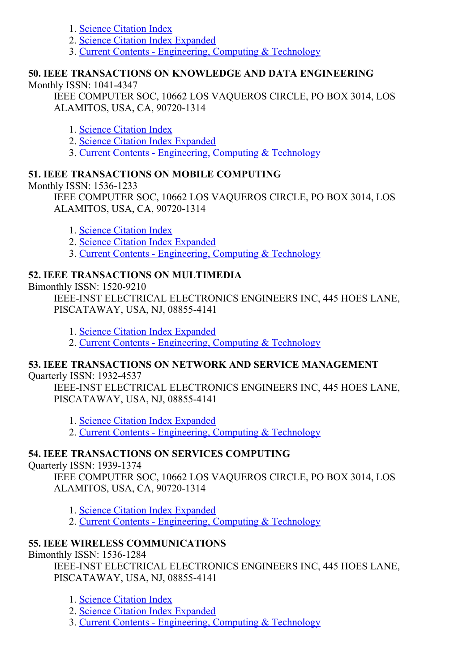- 1. Science [Citation](http://thomsonreuters.com/science-citation-index-expanded) Index
- 2. Science Citation Index [Expanded](http://thomsonreuters.com/science-citation-index-expanded)
- 3. Current Contents [Engineering,](http://thomsonreuters.com/current-contents-connect) Computing & Technology

## 50. IEEE TRANSACTIONS ON KNOWLEDGE AND DATA ENGINEERING

### Monthly  $ISSN: 1041-4347$

IEEE COMPUTER SOC, 10662 LOS VAQUEROS CIRCLE, PO BOX 3014, LOS ALAMITOS, USA, CA, 90720-1314

- 1. Science [Citation](http://thomsonreuters.com/science-citation-index-expanded) Index
- 2. Science Citation Index [Expanded](http://thomsonreuters.com/science-citation-index-expanded)
- 3. Current Contents [Engineering,](http://thomsonreuters.com/current-contents-connect) Computing & Technology

## 51. IEEE TRANSACTIONS ON MOBILE COMPUTING

Monthly ISSN: 1536-1233

IEEE COMPUTER SOC, 10662 LOS VAQUEROS CIRCLE, PO BOX 3014, LOS ALAMITOS, USA, CA, 90720-1314

- 1. Science [Citation](http://thomsonreuters.com/science-citation-index-expanded) Index
- 2. Science Citation Index [Expanded](http://thomsonreuters.com/science-citation-index-expanded)
- 3. Current Contents [Engineering,](http://thomsonreuters.com/current-contents-connect) Computing & Technology

## 52. IEEE TRANSACTIONS ON MULTIMEDIA

Bimonthly ISSN: 1520-9210

IEEE-INST ELECTRICAL ELECTRONICS ENGINEERS INC, 445 HOES LANE, PISCATAWAY, USA, NJ, 088554141

- 1. Science Citation Index [Expanded](http://thomsonreuters.com/science-citation-index-expanded)
- 2. Current Contents [Engineering,](http://thomsonreuters.com/current-contents-connect) Computing & Technology

## 53. IEEE TRANSACTIONS ON NETWORK AND SERVICE MANAGEMENT

Ouarterly ISSN: 1932-4537

IEEE-INST ELECTRICAL ELECTRONICS ENGINEERS INC, 445 HOES LANE, PISCATAWAY, USA, NJ, 088554141

- 1. Science Citation Index [Expanded](http://thomsonreuters.com/science-citation-index-expanded)
- 2. Current Contents [Engineering,](http://thomsonreuters.com/current-contents-connect) Computing & Technology

## 54. IEEE TRANSACTIONS ON SERVICES COMPUTING

Ouarterly ISSN: 1939-1374

IEEE COMPUTER SOC, 10662 LOS VAQUEROS CIRCLE, PO BOX 3014, LOS ALAMITOS, USA, CA, 90720-1314

1. Science Citation Index [Expanded](http://thomsonreuters.com/science-citation-index-expanded)

2. Current Contents - [Engineering,](http://thomsonreuters.com/current-contents-connect) Computing & Technology

## 55. IEEE WIRELESS COMMUNICATIONS

Bimonthly ISSN: 15361284

IEEE-INST ELECTRICAL ELECTRONICS ENGINEERS INC, 445 HOES LANE, PISCATAWAY, USA, NJ, 088554141

- 1. Science [Citation](http://thomsonreuters.com/science-citation-index-expanded) Index
- 2. Science Citation Index [Expanded](http://thomsonreuters.com/science-citation-index-expanded)
- 3. Current Contents [Engineering,](http://thomsonreuters.com/current-contents-connect) Computing & Technology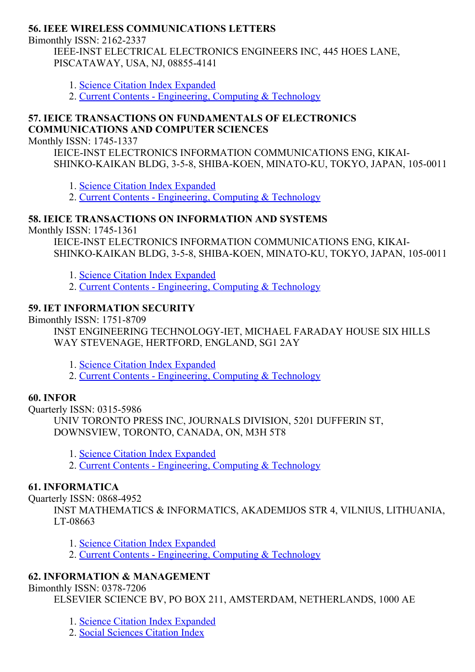### 56. IEEE WIRELESS COMMUNICATIONS LETTERS

Bimonthly ISSN: 2162-2337

IEEE-INST ELECTRICAL ELECTRONICS ENGINEERS INC, 445 HOES LANE, PISCATAWAY, USA, NJ, 088554141

- 1. Science Citation Index [Expanded](http://thomsonreuters.com/science-citation-index-expanded)
- 2. Current Contents [Engineering,](http://thomsonreuters.com/current-contents-connect) Computing & Technology

### 57. IEICE TRANSACTIONS ON FUNDAMENTALS OF ELECTRONICS COMMUNICATIONS AND COMPUTER SCIENCES

Monthly ISSN: 1745-1337

IEICE-INST ELECTRONICS INFORMATION COMMUNICATIONS ENG, KIKAI-SHINKO-KAIKAN BLDG, 3-5-8, SHIBA-KOEN, MINATO-KU, TOKYO, JAPAN, 105-0011

1. Science Citation Index [Expanded](http://thomsonreuters.com/science-citation-index-expanded)

2. Current Contents - [Engineering,](http://thomsonreuters.com/current-contents-connect) Computing & Technology

### 58. IEICE TRANSACTIONS ON INFORMATION AND SYSTEMS

Monthly ISSN: 1745-1361

IEICE-INST ELECTRONICS INFORMATION COMMUNICATIONS ENG, KIKAI-SHINKO-KAIKAN BLDG, 3-5-8, SHIBA-KOEN, MINATO-KU, TOKYO, JAPAN, 105-0011

- 1. Science Citation Index [Expanded](http://thomsonreuters.com/science-citation-index-expanded)
- 2. Current Contents [Engineering,](http://thomsonreuters.com/current-contents-connect) Computing & Technology

## 59. IET INFORMATION SECURITY

Bimonthly ISSN: 1751-8709

INST ENGINEERING TECHNOLOGY-IET, MICHAEL FARADAY HOUSE SIX HILLS WAY STEVENAGE, HERTFORD, ENGLAND, SG1 2AY

1. Science Citation Index [Expanded](http://thomsonreuters.com/science-citation-index-expanded)

2. Current Contents - [Engineering,](http://thomsonreuters.com/current-contents-connect) Computing & Technology

## 60. INFOR

Quarterly ISSN: 0315-5986 UNIV TORONTO PRESS INC, JOURNALS DIVISION, 5201 DUFFERIN ST, DOWNSVIEW, TORONTO, CANADA, ON, M3H 5T8

1. Science Citation Index [Expanded](http://thomsonreuters.com/science-citation-index-expanded)

2. Current Contents - [Engineering,](http://thomsonreuters.com/current-contents-connect) Computing & Technology

## 61. INFORMATICA

Quarterly ISSN: 08684952

INST MATHEMATICS & INFORMATICS, AKADEMIJOS STR 4, VILNIUS, LITHUANIA, LT-08663

- 1. Science Citation Index [Expanded](http://thomsonreuters.com/science-citation-index-expanded)
- 2. Current Contents [Engineering,](http://thomsonreuters.com/current-contents-connect) Computing & Technology

## 62. INFORMATION & MANAGEMENT

#### Bimonthly ISSN: 0378-7206

ELSEVIER SCIENCE BV, PO BOX 211, AMSTERDAM, NETHERLANDS, 1000 AE

- 1. Science Citation Index [Expanded](http://thomsonreuters.com/science-citation-index-expanded)
- 2. Social [Sciences](http://thomsonreuters.com/social-sciences-citation-index) Citation Index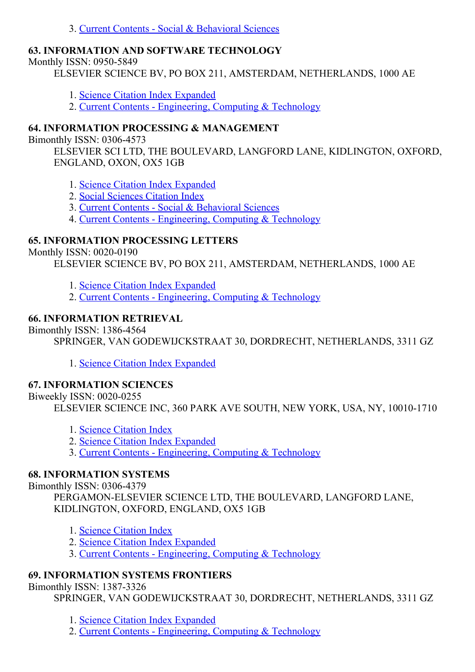### 3. Current Contents - Social & [Behavioral](http://thomsonreuters.com/current-contents-connect/) Sciences

## 63. INFORMATION AND SOFTWARE TECHNOLOGY

Monthly ISSN: 0950-5849

ELSEVIER SCIENCE BV, PO BOX 211, AMSTERDAM, NETHERLANDS, 1000 AE

- 1. Science Citation Index [Expanded](http://thomsonreuters.com/science-citation-index-expanded)
- 2. Current Contents [Engineering,](http://thomsonreuters.com/current-contents-connect) Computing & Technology

## 64. INFORMATION PROCESSING & MANAGEMENT

Bimonthly ISSN: 0306-4573

ELSEVIER SCI LTD, THE BOULEVARD, LANGFORD LANE, KIDLINGTON, OXFORD, ENGLAND, OXON, OX5 1GB

- 1. Science Citation Index [Expanded](http://thomsonreuters.com/science-citation-index-expanded)
- 2. Social [Sciences](http://thomsonreuters.com/social-sciences-citation-index) Citation Index
- 3. Current Contents Social & [Behavioral](http://thomsonreuters.com/current-contents-connect/) Sciences
- 4. Current Contents [Engineering,](http://thomsonreuters.com/current-contents-connect) Computing & Technology

## 65. INFORMATION PROCESSING LETTERS

## Monthly ISSN: 0020-0190

ELSEVIER SCIENCE BV, PO BOX 211, AMSTERDAM, NETHERLANDS, 1000 AE

- 1. Science Citation Index [Expanded](http://thomsonreuters.com/science-citation-index-expanded)
- 2. Current Contents [Engineering,](http://thomsonreuters.com/current-contents-connect) Computing & Technology

## 66. INFORMATION RETRIEVAL

Bimonthly ISSN: 1386-4564

SPRINGER, VAN GODEWIJCKSTRAAT 30, DORDRECHT, NETHERLANDS, 3311 GZ

1. Science Citation Index [Expanded](http://thomsonreuters.com/science-citation-index-expanded)

## 67. INFORMATION SCIENCES

Biweekly ISSN: 0020-0255

ELSEVIER SCIENCE INC, 360 PARK AVE SOUTH, NEW YORK, USA, NY, 10010-1710

- 1. Science [Citation](http://thomsonreuters.com/science-citation-index-expanded) Index
- 2. Science Citation Index [Expanded](http://thomsonreuters.com/science-citation-index-expanded)
- 3. Current Contents [Engineering,](http://thomsonreuters.com/current-contents-connect) Computing & Technology

## 68. INFORMATION SYSTEMS

Bimonthly ISSN: 0306-4379

PERGAMON-ELSEVIER SCIENCE LTD, THE BOULEVARD, LANGFORD LANE, KIDLINGTON, OXFORD, ENGLAND, OX5 1GB

- 1. Science [Citation](http://thomsonreuters.com/science-citation-index-expanded) Index
- 2. Science Citation Index [Expanded](http://thomsonreuters.com/science-citation-index-expanded)
- 3. Current Contents [Engineering,](http://thomsonreuters.com/current-contents-connect) Computing & Technology

## 69. INFORMATION SYSTEMS FRONTIERS

Bimonthly ISSN: 1387-3326

SPRINGER, VAN GODEWIJCKSTRAAT 30, DORDRECHT, NETHERLANDS, 3311 GZ

1. Science Citation Index [Expanded](http://thomsonreuters.com/science-citation-index-expanded)

2. Current Contents - [Engineering,](http://thomsonreuters.com/current-contents-connect) Computing & Technology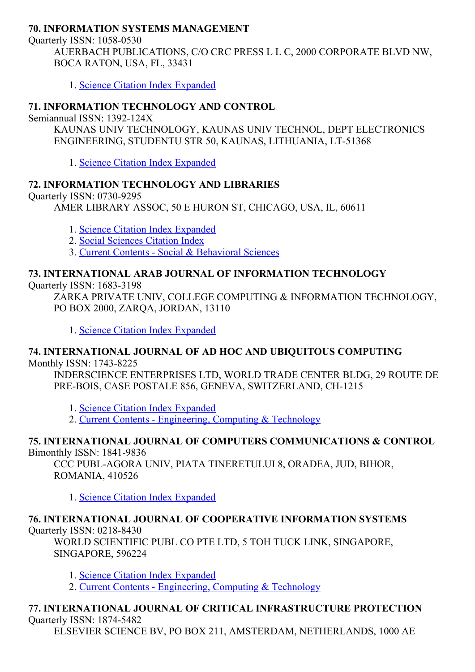## 70. INFORMATION SYSTEMS MANAGEMENT

Quarterly ISSN: 1058-0530 AUERBACH PUBLICATIONS, C/O CRC PRESS L L C, 2000 CORPORATE BLVD NW, BOCA RATON, USA, FL, 33431

1. Science Citation Index [Expanded](http://thomsonreuters.com/science-citation-index-expanded)

## 71. INFORMATION TECHNOLOGY AND CONTROL

Semiannual ISSN: 1392-124X

KAUNAS UNIV TECHNOLOGY, KAUNAS UNIV TECHNOL, DEPT ELECTRONICS ENGINEERING, STUDENTU STR 50, KAUNAS, LITHUANIA, LT-51368

1. Science Citation Index [Expanded](http://thomsonreuters.com/science-citation-index-expanded)

### 72. INFORMATION TECHNOLOGY AND LIBRARIES

Quarterly ISSN: 0730-9295 AMER LIBRARY ASSOC, 50 E HURON ST, CHICAGO, USA, IL, 60611

- 1. Science Citation Index [Expanded](http://thomsonreuters.com/science-citation-index-expanded)
- 2. Social [Sciences](http://thomsonreuters.com/social-sciences-citation-index) Citation Index
- 3. Current Contents Social & [Behavioral](http://thomsonreuters.com/current-contents-connect/) Sciences

## 73. INTERNATIONAL ARAB JOURNAL OF INFORMATION TECHNOLOGY

Quarterly ISSN: 1683-3198

ZARKA PRIVATE UNIV, COLLEGE COMPUTING & INFORMATION TECHNOLOGY, PO BOX 2000, ZARQA, JORDAN, 13110

1. Science Citation Index [Expanded](http://thomsonreuters.com/science-citation-index-expanded)

#### 74. INTERNATIONAL JOURNAL OF AD HOC AND UBIQUITOUS COMPUTING Monthly ISSN: 1743-8225

INDERSCIENCE ENTERPRISES LTD, WORLD TRADE CENTER BLDG, 29 ROUTE DE PRE-BOIS, CASE POSTALE 856, GENEVA, SWITZERLAND, CH-1215

1. Science Citation Index [Expanded](http://thomsonreuters.com/science-citation-index-expanded)

2. Current Contents - [Engineering,](http://thomsonreuters.com/current-contents-connect) Computing & Technology

#### 75. INTERNATIONAL JOURNAL OF COMPUTERS COMMUNICATIONS & CONTROL Bimonthly ISSN: 1841-9836

CCC PUBL-AGORA UNIV, PIATA TINERETULUI 8, ORADEA, JUD, BIHOR, ROMANIA, 410526

1. Science Citation Index [Expanded](http://thomsonreuters.com/science-citation-index-expanded)

#### 76. INTERNATIONAL JOURNAL OF COOPERATIVE INFORMATION SYSTEMS Ouarterly ISSN:  $0218-8430$

WORLD SCIENTIFIC PUBL CO PTE LTD, 5 TOH TUCK LINK, SINGAPORE, SINGAPORE, 596224

1. Science Citation Index [Expanded](http://thomsonreuters.com/science-citation-index-expanded)

2. Current Contents - [Engineering,](http://thomsonreuters.com/current-contents-connect) Computing & Technology

#### 77. INTERNATIONAL JOURNAL OF CRITICAL INFRASTRUCTURE PROTECTION Ouarterly ISSN: 1874-5482

ELSEVIER SCIENCE BV, PO BOX 211, AMSTERDAM, NETHERLANDS, 1000 AE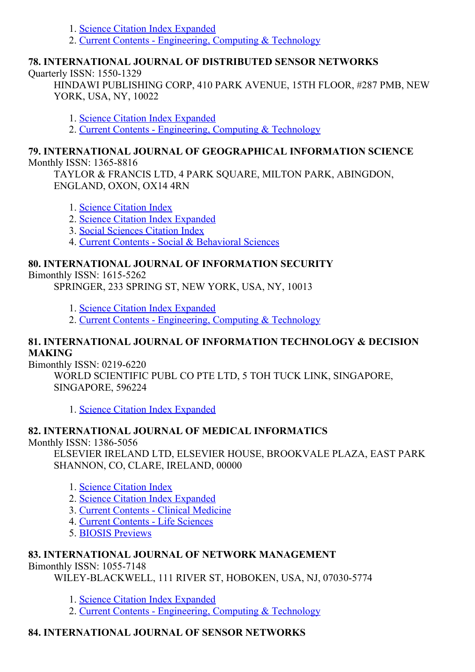- 1. Science Citation Index [Expanded](http://thomsonreuters.com/science-citation-index-expanded)
- 2. Current Contents [Engineering,](http://thomsonreuters.com/current-contents-connect) Computing & Technology

## 78. INTERNATIONAL JOURNAL OF DISTRIBUTED SENSOR NETWORKS

Ouarterly ISSN: 1550-1329

HINDAWI PUBLISHING CORP, 410 PARK AVENUE, 15TH FLOOR, #287 PMB, NEW YORK, USA, NY, 10022

1. Science Citation Index [Expanded](http://thomsonreuters.com/science-citation-index-expanded)

2. Current Contents - [Engineering,](http://thomsonreuters.com/current-contents-connect) Computing & Technology

### 79. INTERNATIONAL JOURNAL OF GEOGRAPHICAL INFORMATION SCIENCE Monthly ISSN: 1365-8816

TAYLOR & FRANCIS LTD, 4 PARK SQUARE, MILTON PARK, ABINGDON, ENGLAND, OXON, OX14 4RN

- 1. Science [Citation](http://thomsonreuters.com/science-citation-index-expanded) Index
- 2. Science Citation Index [Expanded](http://thomsonreuters.com/science-citation-index-expanded)
- 3. Social [Sciences](http://thomsonreuters.com/social-sciences-citation-index) Citation Index

4. Current Contents - Social & [Behavioral](http://thomsonreuters.com/current-contents-connect/) Sciences

## 80. INTERNATIONAL JOURNAL OF INFORMATION SECURITY

Bimonthly ISSN: 1615-5262

SPRINGER, 233 SPRING ST, NEW YORK, USA, NY, 10013

- 1. Science Citation Index [Expanded](http://thomsonreuters.com/science-citation-index-expanded)
- 2. Current Contents [Engineering,](http://thomsonreuters.com/current-contents-connect) Computing & Technology

## 81. INTERNATIONAL JOURNAL OF INFORMATION TECHNOLOGY & DECISION MAKING

Bimonthly ISSN:  $0219-6220$ 

WORLD SCIENTIFIC PUBL CO PTE LTD, 5 TOH TUCK LINK, SINGAPORE, SINGAPORE, 596224

1. Science Citation Index [Expanded](http://thomsonreuters.com/science-citation-index-expanded)

## 82. INTERNATIONAL JOURNAL OF MEDICAL INFORMATICS

Monthly ISSN: 1386-5056

ELSEVIER IRELAND LTD, ELSEVIER HOUSE, BROOKVALE PLAZA, EAST PARK SHANNON, CO, CLARE, IRELAND, 00000

- 1. Science [Citation](http://thomsonreuters.com/science-citation-index-expanded) Index
- 2. Science Citation Index [Expanded](http://thomsonreuters.com/science-citation-index-expanded)
- 3. Current Contents Clinical [Medicine](http://thomsonreuters.com/current-contents-connect)
- 4. Current [Contents](http://thomsonreuters.com/current-contents-connect) Life Sciences
- 5. BIOSIS [Previews](http://thomsonreuters.com/biosis-previews)

## 83. INTERNATIONAL JOURNAL OF NETWORK MANAGEMENT

Bimonthly ISSN: 1055-7148

WILEY-BLACKWELL, 111 RIVER ST, HOBOKEN, USA, NJ, 07030-5774

- 1. Science Citation Index [Expanded](http://thomsonreuters.com/science-citation-index-expanded)
- 2. Current Contents [Engineering,](http://thomsonreuters.com/current-contents-connect) Computing & Technology

# 84. INTERNATIONAL JOURNAL OF SENSOR NETWORKS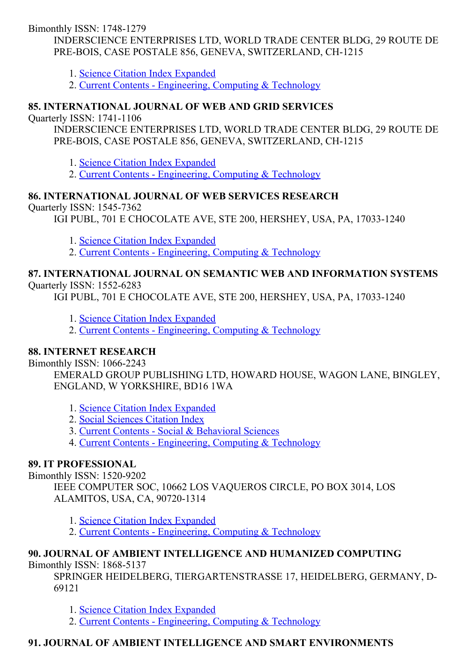Bimonthly ISSN: 1748-1279

INDERSCIENCE ENTERPRISES LTD, WORLD TRADE CENTER BLDG, 29 ROUTE DE PRE-BOIS, CASE POSTALE 856, GENEVA, SWITZERLAND, CH-1215

1. Science Citation Index [Expanded](http://thomsonreuters.com/science-citation-index-expanded)

2. Current Contents - [Engineering,](http://thomsonreuters.com/current-contents-connect) Computing & Technology

## 85. INTERNATIONAL JOURNAL OF WEB AND GRID SERVICES

**Ouarterly ISSN: 1741-1106** 

INDERSCIENCE ENTERPRISES LTD, WORLD TRADE CENTER BLDG, 29 ROUTE DE PRE-BOIS, CASE POSTALE 856, GENEVA, SWITZERLAND, CH-1215

1. Science Citation Index [Expanded](http://thomsonreuters.com/science-citation-index-expanded)

2. Current Contents - [Engineering,](http://thomsonreuters.com/current-contents-connect) Computing & Technology

## 86. INTERNATIONAL JOURNAL OF WEB SERVICES RESEARCH

Quarterly ISSN: 1545-7362

IGI PUBL, 701 E CHOCOLATE AVE, STE 200, HERSHEY, USA, PA, 17033-1240

1. Science Citation Index [Expanded](http://thomsonreuters.com/science-citation-index-expanded)

2. Current Contents - [Engineering,](http://thomsonreuters.com/current-contents-connect) Computing & Technology

#### 87. INTERNATIONAL JOURNAL ON SEMANTIC WEB AND INFORMATION SYSTEMS Quarterly ISSN: 1552-6283

IGI PUBL, 701 E CHOCOLATE AVE, STE 200, HERSHEY, USA, PA, 17033-1240

- 1. Science Citation Index [Expanded](http://thomsonreuters.com/science-citation-index-expanded)
- 2. Current Contents [Engineering,](http://thomsonreuters.com/current-contents-connect) Computing & Technology

## 88. INTERNET RESEARCH

Bimonthly ISSN: 1066-2243

EMERALD GROUP PUBLISHING LTD, HOWARD HOUSE, WAGON LANE, BINGLEY, ENGLAND, W YORKSHIRE, BD16 1WA

- 1. Science Citation Index [Expanded](http://thomsonreuters.com/science-citation-index-expanded)
- 2. Social [Sciences](http://thomsonreuters.com/social-sciences-citation-index) Citation Index
- 3. Current Contents Social & [Behavioral](http://thomsonreuters.com/current-contents-connect/) Sciences
- 4. Current Contents [Engineering,](http://thomsonreuters.com/current-contents-connect) Computing & Technology

## 89. IT PROFESSIONAL

Bimonthly ISSN: 1520-9202

IEEE COMPUTER SOC, 10662 LOS VAQUEROS CIRCLE, PO BOX 3014, LOS ALAMITOS, USA, CA, 90720-1314

1. Science Citation Index [Expanded](http://thomsonreuters.com/science-citation-index-expanded)

2. Current Contents - [Engineering,](http://thomsonreuters.com/current-contents-connect) Computing & Technology

#### 90. JOURNAL OF AMBIENT INTELLIGENCE AND HUMANIZED COMPUTING Bimonthly ISSN: 1868-5137

SPRINGER HEIDELBERG, TIERGARTENSTRASSE 17, HEIDELBERG, GERMANY, D-69121

1. Science Citation Index [Expanded](http://thomsonreuters.com/science-citation-index-expanded)

2. Current Contents - [Engineering,](http://thomsonreuters.com/current-contents-connect) Computing & Technology

## 91. JOURNAL OF AMBIENT INTELLIGENCE AND SMART ENVIRONMENTS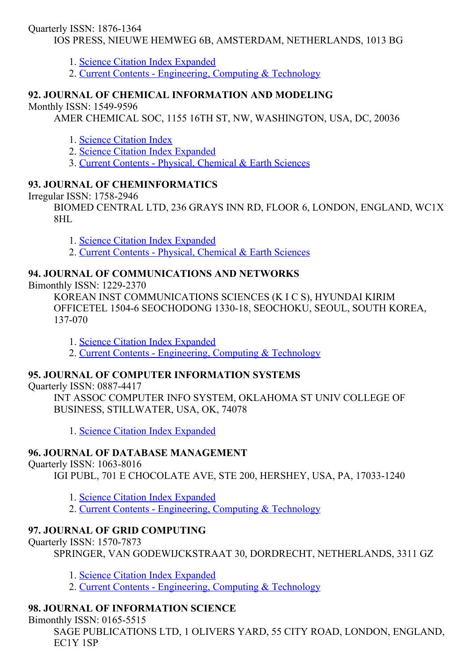## Quarterly ISSN: 1876-1364

IOS PRESS, NIEUWE HEMWEG 6B, AMSTERDAM, NETHERLANDS, 1013 BG

1. Science Citation Index [Expanded](http://thomsonreuters.com/science-citation-index-expanded)

2. Current Contents - [Engineering,](http://thomsonreuters.com/current-contents-connect) Computing & Technology

## 92. JOURNAL OF CHEMICAL INFORMATION AND MODELING

Monthly ISSN: 1549-9596

AMER CHEMICAL SOC, 1155 16TH ST, NW, WASHINGTON, USA, DC, 20036

- 1. Science [Citation](http://thomsonreuters.com/science-citation-index-expanded) Index
- 2. Science Citation Index [Expanded](http://thomsonreuters.com/science-citation-index-expanded)

3. Current Contents - Physical, [Chemical](http://thomsonreuters.com/current-contents-connect) & Earth Sciences

## 93. JOURNAL OF CHEMINFORMATICS

Irregular ISSN: 1758-2946

BIOMED CENTRAL LTD, 236 GRAYS INN RD, FLOOR 6, LONDON, ENGLAND, WC1X 8HL

1. Science Citation Index [Expanded](http://thomsonreuters.com/science-citation-index-expanded)

2. Current Contents - Physical, [Chemical](http://thomsonreuters.com/current-contents-connect) & Earth Sciences

## 94. JOURNAL OF COMMUNICATIONS AND NETWORKS

Bimonthly ISSN: 1229-2370

KOREAN INST COMMUNICATIONS SCIENCES (K I C S), HYUNDAI KIRIM OFFICETEL 1504-6 SEOCHODONG 1330-18, SEOCHOKU, SEOUL, SOUTH KOREA, 137-070

1. Science Citation Index [Expanded](http://thomsonreuters.com/science-citation-index-expanded)

2. Current Contents - [Engineering,](http://thomsonreuters.com/current-contents-connect) Computing & Technology

## 95. JOURNAL OF COMPUTER INFORMATION SYSTEMS

Quarterly ISSN: 08874417

INT ASSOC COMPUTER INFO SYSTEM, OKLAHOMA ST UNIV COLLEGE OF BUSINESS, STILLWATER, USA, OK, 74078

1. Science Citation Index [Expanded](http://thomsonreuters.com/science-citation-index-expanded)

## 96. JOURNAL OF DATABASE MANAGEMENT

Quarterly ISSN: 1063-8016

IGI PUBL, 701 E CHOCOLATE AVE, STE 200, HERSHEY, USA, PA, 17033-1240

1. Science Citation Index [Expanded](http://thomsonreuters.com/science-citation-index-expanded)

2. Current Contents - [Engineering,](http://thomsonreuters.com/current-contents-connect) Computing & Technology

## 97. JOURNAL OF GRID COMPUTING

Ouarterly ISSN: 1570-7873

SPRINGER, VAN GODEWIJCKSTRAAT 30, DORDRECHT, NETHERLANDS, 3311 GZ

1. Science Citation Index [Expanded](http://thomsonreuters.com/science-citation-index-expanded)

2. Current Contents - [Engineering,](http://thomsonreuters.com/current-contents-connect) Computing & Technology

## 98. JOURNAL OF INFORMATION SCIENCE

Bimonthly ISSN: 0165-5515

SAGE PUBLICATIONS LTD, 1 OLIVERS YARD, 55 CITY ROAD, LONDON, ENGLAND, EC1Y 1SP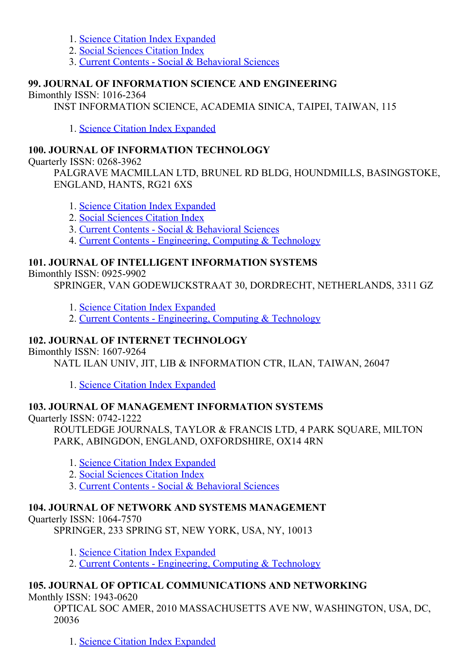- 1. Science Citation Index [Expanded](http://thomsonreuters.com/science-citation-index-expanded)
- 2. Social [Sciences](http://thomsonreuters.com/social-sciences-citation-index) Citation Index
- 3. Current Contents Social & [Behavioral](http://thomsonreuters.com/current-contents-connect/) Sciences

## 99. JOURNAL OF INFORMATION SCIENCE AND ENGINEERING

Bimonthly ISSN: 10162364

INST INFORMATION SCIENCE, ACADEMIA SINICA, TAIPEI, TAIWAN, 115

1. Science Citation Index [Expanded](http://thomsonreuters.com/science-citation-index-expanded)

## 100. JOURNAL OF INFORMATION TECHNOLOGY

Quarterly ISSN: 0268-3962

PALGRAVE MACMILLAN LTD, BRUNEL RD BLDG, HOUNDMILLS, BASINGSTOKE, ENGLAND, HANTS, RG21 6XS

- 1. Science Citation Index [Expanded](http://thomsonreuters.com/science-citation-index-expanded)
- 2. Social [Sciences](http://thomsonreuters.com/social-sciences-citation-index) Citation Index
- 3. Current Contents Social & [Behavioral](http://thomsonreuters.com/current-contents-connect/) Sciences
- 4. Current Contents [Engineering,](http://thomsonreuters.com/current-contents-connect) Computing & Technology

## 101. JOURNAL OF INTELLIGENT INFORMATION SYSTEMS

Bimonthly ISSN: 0925-9902

SPRINGER, VAN GODEWIJCKSTRAAT 30, DORDRECHT, NETHERLANDS, 3311 GZ

- 1. Science Citation Index [Expanded](http://thomsonreuters.com/science-citation-index-expanded)
- 2. Current Contents [Engineering,](http://thomsonreuters.com/current-contents-connect) Computing & Technology

## 102. JOURNAL OF INTERNET TECHNOLOGY

Bimonthly ISSN: 1607-9264

NATL ILAN UNIV, JIT, LIB & INFORMATION CTR, ILAN, TAIWAN, 26047

1. Science Citation Index [Expanded](http://thomsonreuters.com/science-citation-index-expanded)

## 103. JOURNAL OF MANAGEMENT INFORMATION SYSTEMS

Quarterly ISSN: 0742-1222

ROUTLEDGE JOURNALS, TAYLOR & FRANCIS LTD, 4 PARK SOUARE, MILTON PARK, ABINGDON, ENGLAND, OXFORDSHIRE, OX14 4RN

- 1. Science Citation Index [Expanded](http://thomsonreuters.com/science-citation-index-expanded)
- 2. Social [Sciences](http://thomsonreuters.com/social-sciences-citation-index) Citation Index
- 3. Current Contents Social & [Behavioral](http://thomsonreuters.com/current-contents-connect/) Sciences

## 104. JOURNAL OF NETWORK AND SYSTEMS MANAGEMENT

Ouarterly ISSN: 1064-7570

SPRINGER, 233 SPRING ST, NEW YORK, USA, NY, 10013

- 1. Science Citation Index [Expanded](http://thomsonreuters.com/science-citation-index-expanded)
- 2. Current Contents [Engineering,](http://thomsonreuters.com/current-contents-connect) Computing & Technology

## 105. JOURNAL OF OPTICAL COMMUNICATIONS AND NETWORKING

Monthly ISSN: 1943-0620

OPTICAL SOC AMER, 2010 MASSACHUSETTS AVE NW, WASHINGTON, USA, DC, 20036

1. Science Citation Index [Expanded](http://thomsonreuters.com/science-citation-index-expanded)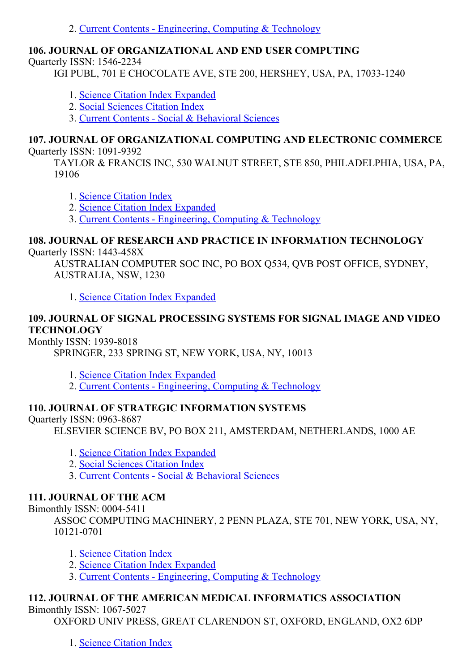2. Current Contents - [Engineering,](http://thomsonreuters.com/current-contents-connect) Computing & Technology

## 106. JOURNAL OF ORGANIZATIONAL AND END USER COMPUTING

Ouarterly ISSN: 1546-2234

IGI PUBL, 701 E CHOCOLATE AVE, STE 200, HERSHEY, USA, PA, 17033-1240

- 1. Science Citation Index [Expanded](http://thomsonreuters.com/science-citation-index-expanded)
- 2. Social [Sciences](http://thomsonreuters.com/social-sciences-citation-index) Citation Index

3. Current Contents - Social & [Behavioral](http://thomsonreuters.com/current-contents-connect/) Sciences

#### 107. JOURNAL OF ORGANIZATIONAL COMPUTING AND ELECTRONIC COMMERCE Quarterly ISSN: 1091-9392

TAYLOR & FRANCIS INC, 530 WALNUT STREET, STE 850, PHILADELPHIA, USA, PA,

19106

- 1. Science [Citation](http://thomsonreuters.com/science-citation-index-expanded) Index
- 2. Science Citation Index [Expanded](http://thomsonreuters.com/science-citation-index-expanded)

3. Current Contents [Engineering,](http://thomsonreuters.com/current-contents-connect) Computing & Technology

# 108. JOURNAL OF RESEARCH AND PRACTICE IN INFORMATION TECHNOLOGY

## Ouarterly ISSN: 1443-458X

AUSTRALIAN COMPUTER SOC INC, PO BOX Q534, QVB POST OFFICE, SYDNEY, AUSTRALIA, NSW, 1230

1. Science Citation Index [Expanded](http://thomsonreuters.com/science-citation-index-expanded)

## 109. JOURNAL OF SIGNAL PROCESSING SYSTEMS FOR SIGNAL IMAGE AND VIDEO **TECHNOLOGY**

Monthly ISSN: 1939-8018

SPRINGER, 233 SPRING ST, NEW YORK, USA, NY, 10013

1. Science Citation Index [Expanded](http://thomsonreuters.com/science-citation-index-expanded)

2. Current Contents - [Engineering,](http://thomsonreuters.com/current-contents-connect) Computing & Technology

## 110. JOURNAL OF STRATEGIC INFORMATION SYSTEMS

## Ouarterly ISSN: 0963-8687

ELSEVIER SCIENCE BV, PO BOX 211, AMSTERDAM, NETHERLANDS, 1000 AE

- 1. Science Citation Index [Expanded](http://thomsonreuters.com/science-citation-index-expanded)
- 2. Social [Sciences](http://thomsonreuters.com/social-sciences-citation-index) Citation Index
- 3. Current Contents Social & [Behavioral](http://thomsonreuters.com/current-contents-connect/) Sciences

## 111. JOURNAL OF THE ACM

Bimonthly ISSN: 0004-5411

ASSOC COMPUTING MACHINERY, 2 PENN PLAZA, STE 701, NEW YORK, USA, NY, 10121-0701

- 1. Science [Citation](http://thomsonreuters.com/science-citation-index-expanded) Index
- 2. Science Citation Index [Expanded](http://thomsonreuters.com/science-citation-index-expanded)
- 3. Current Contents [Engineering,](http://thomsonreuters.com/current-contents-connect) Computing & Technology

## 112. JOURNAL OF THE AMERICAN MEDICAL INFORMATICS ASSOCIATION

## Bimonthly ISSN: 1067-5027

OXFORD UNIV PRESS, GREAT CLARENDON ST, OXFORD, ENGLAND, OX2 6DP

1. Science [Citation](http://thomsonreuters.com/science-citation-index-expanded) Index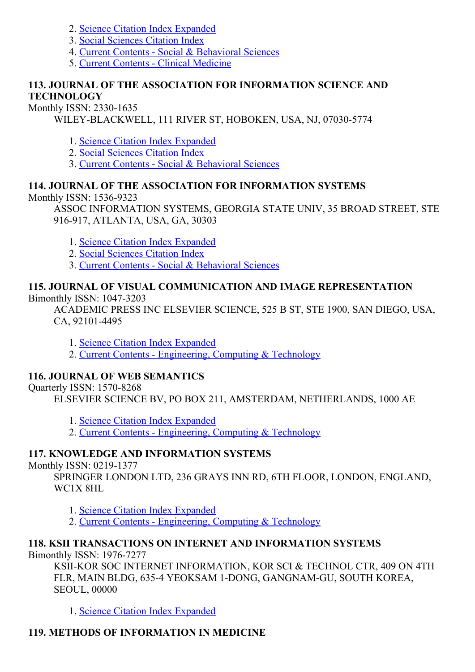- 2. Science Citation Index [Expanded](http://thomsonreuters.com/science-citation-index-expanded)
- 3. Social [Sciences](http://thomsonreuters.com/social-sciences-citation-index) Citation Index
- 4. Current Contents Social & [Behavioral](http://thomsonreuters.com/current-contents-connect/) Sciences
- 5. Current Contents Clinical [Medicine](http://thomsonreuters.com/current-contents-connect)

### 113. JOURNAL OF THE ASSOCIATION FOR INFORMATION SCIENCE AND **TECHNOLOGY**

Monthly ISSN: 2330-1635

WILEY-BLACKWELL, 111 RIVER ST, HOBOKEN, USA, NJ, 07030-5774

- 1. Science Citation Index [Expanded](http://thomsonreuters.com/science-citation-index-expanded)
- 2. Social [Sciences](http://thomsonreuters.com/social-sciences-citation-index) Citation Index
- 3. Current Contents Social & [Behavioral](http://thomsonreuters.com/current-contents-connect/) Sciences

## 114. JOURNAL OF THE ASSOCIATION FOR INFORMATION SYSTEMS

Monthly ISSN: 1536-9323

ASSOC INFORMATION SYSTEMS, GEORGIA STATE UNIV, 35 BROAD STREET, STE 916917, ATLANTA, USA, GA, 30303

- 1. Science Citation Index [Expanded](http://thomsonreuters.com/science-citation-index-expanded)
- 2. Social [Sciences](http://thomsonreuters.com/social-sciences-citation-index) Citation Index
- 3. Current Contents Social & [Behavioral](http://thomsonreuters.com/current-contents-connect/) Sciences

# 115. JOURNAL OF VISUAL COMMUNICATION AND IMAGE REPRESENTATION

Bimonthly ISSN: 1047-3203

ACADEMIC PRESS INC ELSEVIER SCIENCE, 525 B ST, STE 1900, SAN DIEGO, USA, CA, 92101-4495

1. Science Citation Index [Expanded](http://thomsonreuters.com/science-citation-index-expanded)

2. Current Contents - [Engineering,](http://thomsonreuters.com/current-contents-connect) Computing & Technology

## 116. JOURNAL OF WEB SEMANTICS

Quarterly ISSN: 1570-8268

ELSEVIER SCIENCE BV, PO BOX 211, AMSTERDAM, NETHERLANDS, 1000 AE

- 1. Science Citation Index [Expanded](http://thomsonreuters.com/science-citation-index-expanded)
- 2. Current Contents [Engineering,](http://thomsonreuters.com/current-contents-connect) Computing & Technology

## 117. KNOWLEDGE AND INFORMATION SYSTEMS

Monthly ISSN: 0219-1377

SPRINGER LONDON LTD, 236 GRAYS INN RD, 6TH FLOOR, LONDON, ENGLAND, WC1X 8HL

- 1. Science Citation Index [Expanded](http://thomsonreuters.com/science-citation-index-expanded)
- 2. Current Contents [Engineering,](http://thomsonreuters.com/current-contents-connect) Computing & Technology

## 118. KSII TRANSACTIONS ON INTERNET AND INFORMATION SYSTEMS

Bimonthly ISSN: 1976-7277

KSII-KOR SOC INTERNET INFORMATION, KOR SCI & TECHNOL CTR, 409 ON 4TH FLR, MAIN BLDG, 635-4 YEOKSAM 1-DONG, GANGNAM-GU, SOUTH KOREA, SEOUL, 00000

1. Science Citation Index [Expanded](http://thomsonreuters.com/science-citation-index-expanded)

## 119. METHODS OF INFORMATION IN MEDICINE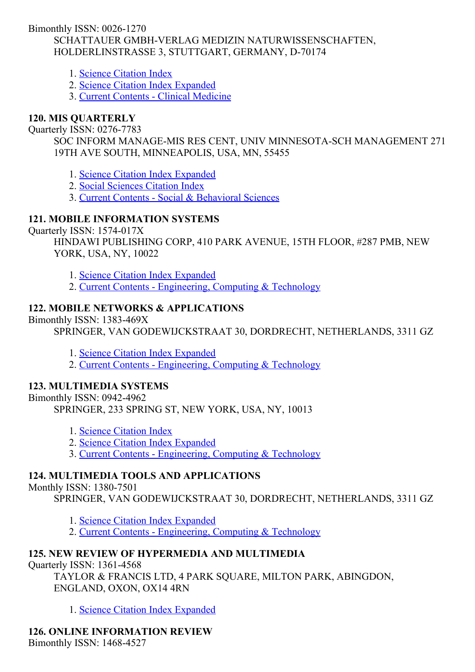Bimonthly ISSN: 0026-1270 SCHATTAUER GMBH-VERLAG MEDIZIN NATURWISSENSCHAFTEN, HOLDERLINSTRASSE 3, STUTTGART, GERMANY, D-70174

- 1. Science [Citation](http://thomsonreuters.com/science-citation-index-expanded) Index
- 2. Science Citation Index [Expanded](http://thomsonreuters.com/science-citation-index-expanded)
- 3. Current Contents Clinical [Medicine](http://thomsonreuters.com/current-contents-connect)

## 120. MIS QUARTERLY

#### Ouarterly ISSN: 0276-7783

SOC INFORM MANAGE-MIS RES CENT, UNIV MINNESOTA-SCH MANAGEMENT 271 19TH AVE SOUTH, MINNEAPOLIS, USA, MN, 55455

1. Science Citation Index [Expanded](http://thomsonreuters.com/science-citation-index-expanded)

- 2. Social [Sciences](http://thomsonreuters.com/social-sciences-citation-index) Citation Index
- 3. Current Contents Social & [Behavioral](http://thomsonreuters.com/current-contents-connect/) Sciences

## 121. MOBILE INFORMATION SYSTEMS

Ouarterly ISSN: 1574-017X

HINDAWI PUBLISHING CORP, 410 PARK AVENUE, 15TH FLOOR, #287 PMB, NEW YORK, USA, NY, 10022

- 1. Science Citation Index [Expanded](http://thomsonreuters.com/science-citation-index-expanded)
- 2. Current Contents [Engineering,](http://thomsonreuters.com/current-contents-connect) Computing & Technology

## 122. MOBILE NETWORKS & APPLICATIONS

Bimonthly ISSN: 1383-469X

SPRINGER, VAN GODEWIJCKSTRAAT 30, DORDRECHT, NETHERLANDS, 3311 GZ

- 1. Science Citation Index [Expanded](http://thomsonreuters.com/science-citation-index-expanded)
- 2. Current Contents [Engineering,](http://thomsonreuters.com/current-contents-connect) Computing & Technology

## 123. MULTIMEDIA SYSTEMS

Bimonthly ISSN: 0942-4962

SPRINGER, 233 SPRING ST, NEW YORK, USA, NY, 10013

- 1. Science [Citation](http://thomsonreuters.com/science-citation-index-expanded) Index
- 2. Science Citation Index [Expanded](http://thomsonreuters.com/science-citation-index-expanded)
- 3. Current Contents [Engineering,](http://thomsonreuters.com/current-contents-connect) Computing & Technology

## 124. MULTIMEDIA TOOLS AND APPLICATIONS

#### Monthly ISSN: 1380-7501

SPRINGER, VAN GODEWIJCKSTRAAT 30, DORDRECHT, NETHERLANDS, 3311 GZ

- 1. Science Citation Index [Expanded](http://thomsonreuters.com/science-citation-index-expanded)
- 2. Current Contents [Engineering,](http://thomsonreuters.com/current-contents-connect) Computing & Technology

## 125. NEW REVIEW OF HYPERMEDIA AND MULTIMEDIA

Quarterly ISSN: 1361-4568

TAYLOR & FRANCIS LTD, 4 PARK SQUARE, MILTON PARK, ABINGDON, ENGLAND, OXON, OX14 4RN

1. Science Citation Index [Expanded](http://thomsonreuters.com/science-citation-index-expanded)

126. ONLINE INFORMATION REVIEW Bimonthly ISSN: 1468-4527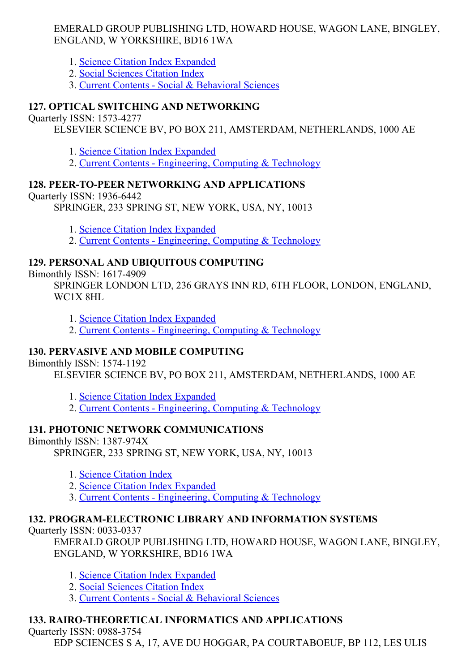### EMERALD GROUP PUBLISHING LTD, HOWARD HOUSE, WAGON LANE, BINGLEY, ENGLAND, W YORKSHIRE, BD16 1WA

- 1. Science Citation Index [Expanded](http://thomsonreuters.com/science-citation-index-expanded)
- 2. Social [Sciences](http://thomsonreuters.com/social-sciences-citation-index) Citation Index
- 3. Current Contents Social & [Behavioral](http://thomsonreuters.com/current-contents-connect/) Sciences

## 127. OPTICAL SWITCHING AND NETWORKING

Quarterly ISSN: 15734277

ELSEVIER SCIENCE BV, PO BOX 211, AMSTERDAM, NETHERLANDS, 1000 AE

- 1. Science Citation Index [Expanded](http://thomsonreuters.com/science-citation-index-expanded)
- 2. Current Contents [Engineering,](http://thomsonreuters.com/current-contents-connect) Computing & Technology

## 128. PEER-TO-PEER NETWORKING AND APPLICATIONS

## Quarterly ISSN: 1936-6442

SPRINGER, 233 SPRING ST, NEW YORK, USA, NY, 10013

- 1. Science Citation Index [Expanded](http://thomsonreuters.com/science-citation-index-expanded)
- 2. Current Contents [Engineering,](http://thomsonreuters.com/current-contents-connect) Computing & Technology

## 129. PERSONAL AND UBIQUITOUS COMPUTING

Bimonthly ISSN: 16174909

SPRINGER LONDON LTD, 236 GRAYS INN RD, 6TH FLOOR, LONDON, ENGLAND, WC1X 8HL

- 1. Science Citation Index [Expanded](http://thomsonreuters.com/science-citation-index-expanded)
- 2. Current Contents [Engineering,](http://thomsonreuters.com/current-contents-connect) Computing & Technology

## 130. PERVASIVE AND MOBILE COMPUTING

## Bimonthly ISSN: 15741192

ELSEVIER SCIENCE BV, PO BOX 211, AMSTERDAM, NETHERLANDS, 1000 AE

- 1. Science Citation Index [Expanded](http://thomsonreuters.com/science-citation-index-expanded)
- 2. Current Contents [Engineering,](http://thomsonreuters.com/current-contents-connect) Computing & Technology

## 131. PHOTONIC NETWORK COMMUNICATIONS

Bimonthly ISSN: 1387-974X

SPRINGER, 233 SPRING ST, NEW YORK, USA, NY, 10013

- 1. Science [Citation](http://thomsonreuters.com/science-citation-index-expanded) Index
- 2. Science Citation Index [Expanded](http://thomsonreuters.com/science-citation-index-expanded)
- 3. Current Contents [Engineering,](http://thomsonreuters.com/current-contents-connect) Computing & Technology

## 132. PROGRAM-ELECTRONIC LIBRARY AND INFORMATION SYSTEMS

Quarterly ISSN: 0033-0337

EMERALD GROUP PUBLISHING LTD, HOWARD HOUSE, WAGON LANE, BINGLEY, ENGLAND, W YORKSHIRE, BD16 1WA

- 1. Science Citation Index [Expanded](http://thomsonreuters.com/science-citation-index-expanded)
- 2. Social [Sciences](http://thomsonreuters.com/social-sciences-citation-index) Citation Index
- 3. Current Contents Social & [Behavioral](http://thomsonreuters.com/current-contents-connect/) Sciences

# 133. RAIRO-THEORETICAL INFORMATICS AND APPLICATIONS

Quarterly ISSN: 0988-3754

EDP SCIENCES S A, 17, AVE DU HOGGAR, PA COURTABOEUF, BP 112, LES ULIS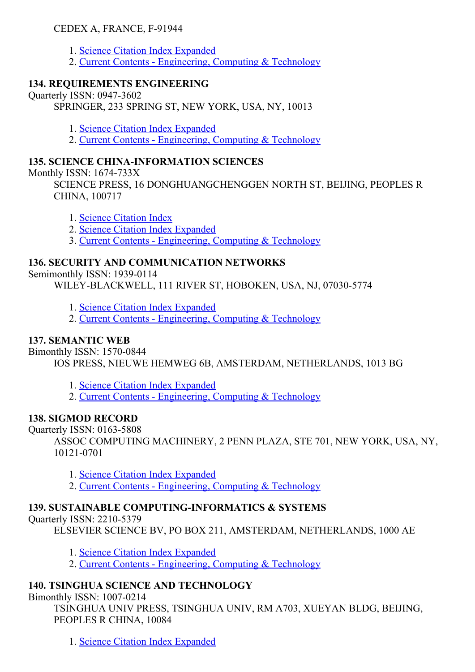## CEDEX A, FRANCE, F-91944

- 1. Science Citation Index [Expanded](http://thomsonreuters.com/science-citation-index-expanded)
- 2. Current Contents [Engineering,](http://thomsonreuters.com/current-contents-connect) Computing & Technology

### 134. REQUIREMENTS ENGINEERING

Quarterly ISSN: 0947-3602 SPRINGER, 233 SPRING ST, NEW YORK, USA, NY, 10013

- 1. Science Citation Index [Expanded](http://thomsonreuters.com/science-citation-index-expanded)
- 2. Current Contents [Engineering,](http://thomsonreuters.com/current-contents-connect) Computing & Technology

## 135. SCIENCE CHINA-INFORMATION SCIENCES

Monthly ISSN:  $1674-733X$ 

SCIENCE PRESS, 16 DONGHUANGCHENGGEN NORTH ST, BEIJING, PEOPLES R CHINA, 100717

- 1. Science [Citation](http://thomsonreuters.com/science-citation-index-expanded) Index
- 2. Science Citation Index [Expanded](http://thomsonreuters.com/science-citation-index-expanded)

3. Current Contents [Engineering,](http://thomsonreuters.com/current-contents-connect) Computing & Technology

### 136. SECURITY AND COMMUNICATION NETWORKS

Semimonthly ISSN: 1939-0114

WILEY-BLACKWELL, 111 RIVER ST, HOBOKEN, USA, NJ, 07030-5774

- 1. Science Citation Index [Expanded](http://thomsonreuters.com/science-citation-index-expanded)
- 2. Current Contents [Engineering,](http://thomsonreuters.com/current-contents-connect) Computing & Technology

### 137. SEMANTIC WEB

Bimonthly ISSN: 1570-0844

IOS PRESS, NIEUWE HEMWEG 6B, AMSTERDAM, NETHERLANDS, 1013 BG

1. Science Citation Index [Expanded](http://thomsonreuters.com/science-citation-index-expanded)

2. Current Contents - [Engineering,](http://thomsonreuters.com/current-contents-connect) Computing & Technology

## 138. SIGMOD RECORD

Ouarterly ISSN: 0163-5808

ASSOC COMPUTING MACHINERY, 2 PENN PLAZA, STE 701, NEW YORK, USA, NY, 10121-0701

- 1. Science Citation Index [Expanded](http://thomsonreuters.com/science-citation-index-expanded)
- 2. Current Contents [Engineering,](http://thomsonreuters.com/current-contents-connect) Computing & Technology

## 139. SUSTAINABLE COMPUTING-INFORMATICS & SYSTEMS

Ouarterly ISSN: 2210-5379

ELSEVIER SCIENCE BV, PO BOX 211, AMSTERDAM, NETHERLANDS, 1000 AE

- 1. Science Citation Index [Expanded](http://thomsonreuters.com/science-citation-index-expanded)
- 2. Current Contents [Engineering,](http://thomsonreuters.com/current-contents-connect) Computing & Technology

## 140. TSINGHUA SCIENCE AND TECHNOLOGY

Bimonthly ISSN: 1007-0214

TSINGHUA UNIV PRESS, TSINGHUA UNIV, RM A703, XUEYAN BLDG, BEIJING, PEOPLES R CHINA, 10084

1. Science Citation Index [Expanded](http://thomsonreuters.com/science-citation-index-expanded)